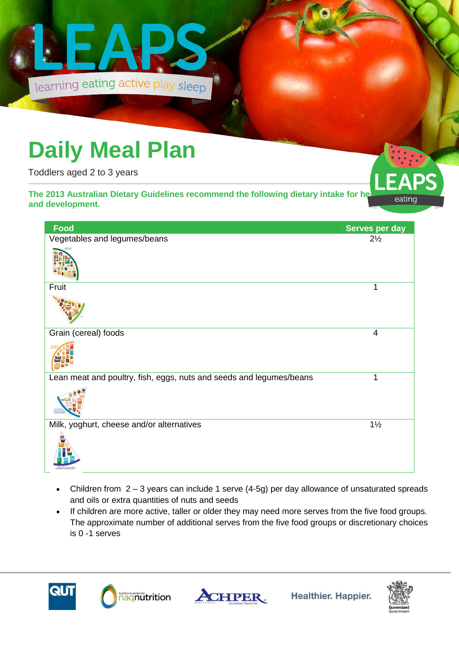

## **Daily Meal Plan**

Toddlers aged 2 to 3 years

**The 2013 Australian Dietary Guidelines recommend the following dietary intake for health in the eating and development.** 



| Food                                                                | Serves per day |
|---------------------------------------------------------------------|----------------|
| Vegetables and legumes/beans                                        | $2\frac{1}{2}$ |
|                                                                     |                |
| Fruit                                                               | 1              |
|                                                                     |                |
| Grain (cereal) foods                                                | 4              |
|                                                                     |                |
| Lean meat and poultry, fish, eggs, nuts and seeds and legumes/beans | 1              |
|                                                                     |                |
| Milk, yoghurt, cheese and/or alternatives                           | $1\frac{1}{2}$ |
|                                                                     |                |

- Children from 2 3 years can include 1 serve (4-5g) per day allowance of unsaturated spreads and oils or extra quantities of nuts and seeds
- If children are more active, taller or older they may need more serves from the five food groups. The approximate number of additional serves from the five food groups or discretionary choices is 0 -1 serves